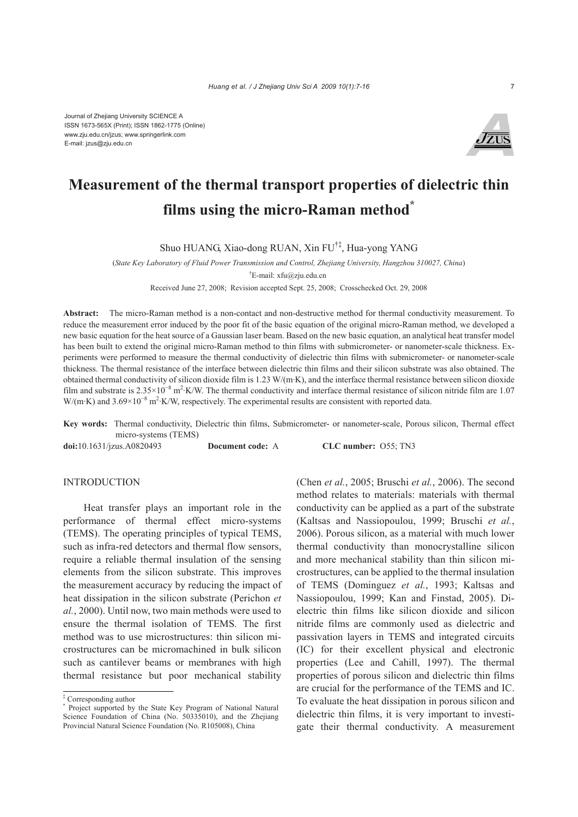

# **Measurement of the thermal transport properties of dielectric thin films using the micro-Raman method\***

Shuo HUANG, Xiao-dong RUAN, Xin FU†‡, Hua-yong YANG

(*State Key Laboratory of Fluid Power Transmission and Control, Zhejiang University, Hangzhou 310027, China*) † E-mail: xfu@zju.edu.cn

Received June 27, 2008; Revision accepted Sept. 25, 2008; Crosschecked Oct. 29, 2008

**Abstract:** The micro-Raman method is a non-contact and non-destructive method for thermal conductivity measurement. To reduce the measurement error induced by the poor fit of the basic equation of the original micro-Raman method, we developed a new basic equation for the heat source of a Gaussian laser beam. Based on the new basic equation, an analytical heat transfer model has been built to extend the original micro-Raman method to thin films with submicrometer- or nanometer-scale thickness. Experiments were performed to measure the thermal conductivity of dielectric thin films with submicrometer- or nanometer-scale thickness. The thermal resistance of the interface between dielectric thin films and their silicon substrate was also obtained. The obtained thermal conductivity of silicon dioxide film is 1.23 W/(m·K), and the interface thermal resistance between silicon dioxide film and substrate is  $2.35 \times 10^{-8}$  m<sup>2</sup>⋅K/W. The thermal conductivity and interface thermal resistance of silicon nitride film are 1.07 W/(m·K) and 3.69×10<sup>-8</sup> m<sup>2</sup>·K/W, respectively. The experimental results are consistent with reported data.

**Key words:** Thermal conductivity, Dielectric thin films, Submicrometer- or nanometer-scale, Porous silicon, Thermal effect micro-systems (TEMS)

**doi:**10.1631/jzus.A0820493 **Document code:** A **CLC number:** O55; TN3

### INTRODUCTION

Heat transfer plays an important role in the performance of thermal effect micro-systems (TEMS). The operating principles of typical TEMS, such as infra-red detectors and thermal flow sensors, require a reliable thermal insulation of the sensing elements from the silicon substrate. This improves the measurement accuracy by reducing the impact of heat dissipation in the silicon substrate (Perichon *et al.*, 2000). Until now, two main methods were used to ensure the thermal isolation of TEMS. The first method was to use microstructures: thin silicon microstructures can be micromachined in bulk silicon such as cantilever beams or membranes with high thermal resistance but poor mechanical stability

(Chen *et al.*, 2005; Bruschi *et al.*, 2006). The second method relates to materials: materials with thermal conductivity can be applied as a part of the substrate (Kaltsas and Nassiopoulou, 1999; Bruschi *et al.*, 2006). Porous silicon, as a material with much lower thermal conductivity than monocrystalline silicon and more mechanical stability than thin silicon microstructures, can be applied to the thermal insulation of TEMS (Dominguez *et al.*, 1993; Kaltsas and Nassiopoulou, 1999; Kan and Finstad, 2005). Dielectric thin films like silicon dioxide and silicon nitride films are commonly used as dielectric and passivation layers in TEMS and integrated circuits (IC) for their excellent physical and electronic properties (Lee and Cahill, 1997). The thermal properties of porous silicon and dielectric thin films are crucial for the performance of the TEMS and IC. To evaluate the heat dissipation in porous silicon and dielectric thin films, it is very important to investigate their thermal conductivity. A measurement

<sup>‡</sup> Corresponding author

<sup>\*</sup> Project supported by the State Key Program of National Natural Science Foundation of China (No. 50335010), and the Zhejiang Provincial Natural Science Foundation (No. R105008), China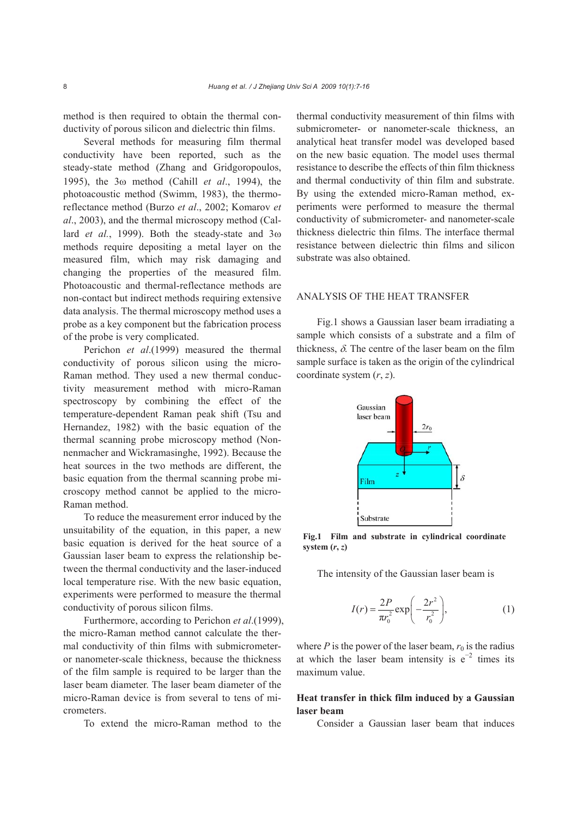method is then required to obtain the thermal conductivity of porous silicon and dielectric thin films.

Several methods for measuring film thermal conductivity have been reported, such as the steady-state method (Zhang and Gridgoropoulos, 1995), the 3ω method (Cahill *et al*., 1994), the photoacoustic method (Swimm, 1983), the thermoreflectance method (Burzo *et al*., 2002; Komarov *et al*., 2003), and the thermal microscopy method (Callard *et al.*, 1999). Both the steady-state and 3ω methods require depositing a metal layer on the measured film, which may risk damaging and changing the properties of the measured film. Photoacoustic and thermal-reflectance methods are non-contact but indirect methods requiring extensive data analysis. The thermal microscopy method uses a probe as a key component but the fabrication process of the probe is very complicated.

Perichon *et al*.(1999) measured the thermal conductivity of porous silicon using the micro-Raman method. They used a new thermal conductivity measurement method with micro-Raman spectroscopy by combining the effect of the temperature-dependent Raman peak shift (Tsu and Hernandez, 1982) with the basic equation of the thermal scanning probe microscopy method (Nonnenmacher and Wickramasinghe, 1992). Because the heat sources in the two methods are different, the basic equation from the thermal scanning probe microscopy method cannot be applied to the micro-Raman method.

To reduce the measurement error induced by the unsuitability of the equation, in this paper, a new basic equation is derived for the heat source of a Gaussian laser beam to express the relationship between the thermal conductivity and the laser-induced local temperature rise. With the new basic equation, experiments were performed to measure the thermal conductivity of porous silicon films.

Furthermore, according to Perichon *et al*.(1999), the micro-Raman method cannot calculate the thermal conductivity of thin films with submicrometeror nanometer-scale thickness, because the thickness of the film sample is required to be larger than the laser beam diameter. The laser beam diameter of the micro-Raman device is from several to tens of micrometers.

To extend the micro-Raman method to the

thermal conductivity measurement of thin films with submicrometer- or nanometer-scale thickness, an analytical heat transfer model was developed based on the new basic equation. The model uses thermal resistance to describe the effects of thin film thickness and thermal conductivity of thin film and substrate. By using the extended micro-Raman method, experiments were performed to measure the thermal conductivity of submicrometer- and nanometer-scale thickness dielectric thin films. The interface thermal resistance between dielectric thin films and silicon substrate was also obtained.

## ANALYSIS OF THE HEAT TRANSFER

Fig.1 shows a Gaussian laser beam irradiating a sample which consists of a substrate and a film of thickness,  $\delta$ . The centre of the laser beam on the film sample surface is taken as the origin of the cylindrical coordinate system (*r*, *z*).



**Fig.1 Film and substrate in cylindrical coordinate** system  $(r, z)$ 

The intensity of the Gaussian laser beam is

$$
I(r) = \frac{2P}{\pi r_0^2} \exp\left(-\frac{2r^2}{r_0^2}\right),\tag{1}
$$

where  $P$  is the power of the laser beam,  $r_0$  is the radius at which the laser beam intensity is  $e^{-2}$  times its maximum value.

# **Heat transfer in thick film induced by a Gaussian laser beam**

Consider a Gaussian laser beam that induces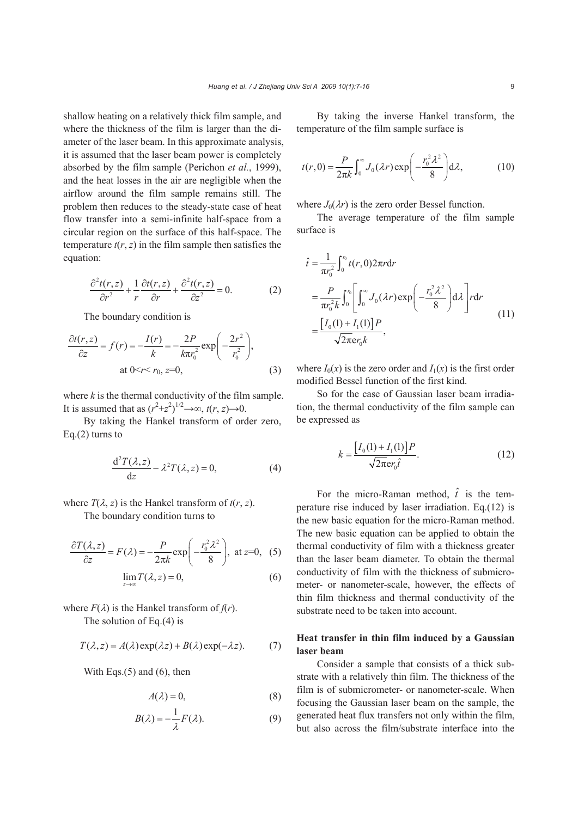shallow heating on a relatively thick film sample, and where the thickness of the film is larger than the diameter of the laser beam. In this approximate analysis, it is assumed that the laser beam power is completely absorbed by the film sample (Perichon *et al.*, 1999), and the heat losses in the air are negligible when the airflow around the film sample remains still. The problem then reduces to the steady-state case of heat flow transfer into a semi-infinite half-space from a circular region on the surface of this half-space. The temperature  $t(r, z)$  in the film sample then satisfies the equation:

$$
\frac{\partial^2 t(r,z)}{\partial r^2} + \frac{1}{r} \frac{\partial t(r,z)}{\partial r} + \frac{\partial^2 t(r,z)}{\partial z^2} = 0.
$$
 (2)

The boundary condition is

$$
\frac{\partial t(r,z)}{\partial z} = f(r) = -\frac{I(r)}{k} = -\frac{2P}{k\pi r_0^2} \exp\left(-\frac{2r^2}{r_0^2}\right),
$$
  
at 0 < r < r\_0, z=0, (3)

where  $k$  is the thermal conductivity of the film sample. It is assumed that as  $(r^2+z^2)^{1/2} \rightarrow \infty$ ,  $t(r, z) \rightarrow 0$ .

By taking the Hankel transform of order zero, Eq. $(2)$  turns to

$$
\frac{d^2T(\lambda, z)}{dz} - \lambda^2 T(\lambda, z) = 0,
$$
 (4)

where  $T(\lambda, z)$  is the Hankel transform of  $t(r, z)$ .

The boundary condition turns to

$$
\frac{\partial T(\lambda, z)}{\partial z} = F(\lambda) = -\frac{P}{2\pi k} \exp\left(-\frac{r_0^2 \lambda^2}{8}\right), \text{ at } z=0, (5)
$$

$$
\lim_{z \to \infty} T(\lambda, z) = 0,
$$
(6)

where  $F(\lambda)$  is the Hankel transform of  $f(r)$ . The solution of Eq.(4) is

$$
T(\lambda, z) = A(\lambda) \exp(\lambda z) + B(\lambda) \exp(-\lambda z). \tag{7}
$$

With Eqs.(5) and (6), then

$$
A(\lambda) = 0,\tag{8}
$$

$$
B(\lambda) = -\frac{1}{\lambda} F(\lambda).
$$
 (9)

By taking the inverse Hankel transform, the temperature of the film sample surface is

$$
t(r,0) = \frac{P}{2\pi k} \int_0^\infty J_0(\lambda r) \exp\left(-\frac{r_0^2 \lambda^2}{8}\right) d\lambda, \tag{10}
$$

where  $J_0(\lambda r)$  is the zero order Bessel function.

The average temperature of the film sample surface is

$$
\hat{t} = \frac{1}{\pi r_0^2} \int_0^{r_0} t(r, 0) 2\pi r dr
$$
\n
$$
= \frac{P}{\pi r_0^2 k} \int_0^{r_0} \left[ \int_0^{\infty} J_0(\lambda r) \exp\left(-\frac{r_0^2 \lambda^2}{8}\right) d\lambda \right] r dr
$$
\n
$$
= \frac{\left[I_0(1) + I_1(1)\right] P}{\sqrt{2\pi} e r_0 k},
$$
\n(11)

where  $I_0(x)$  is the zero order and  $I_1(x)$  is the first order modified Bessel function of the first kind.

So for the case of Gaussian laser beam irradiation, the thermal conductivity of the film sample can be expressed as

$$
k = \frac{[I_0(1) + I_1(1)]P}{\sqrt{2\pi}er_0\hat{t}}.\tag{12}
$$

For the micro-Raman method,  $\hat{t}$  is the temperature rise induced by laser irradiation. Eq.(12) is the new basic equation for the micro-Raman method. The new basic equation can be applied to obtain the thermal conductivity of film with a thickness greater than the laser beam diameter. To obtain the thermal conductivity of film with the thickness of submicrometer- or nanometer-scale, however, the effects of thin film thickness and thermal conductivity of the substrate need to be taken into account.

## **Heat transfer in thin film induced by a Gaussian laser beam**

Consider a sample that consists of a thick substrate with a relatively thin film. The thickness of the film is of submicrometer- or nanometer-scale. When focusing the Gaussian laser beam on the sample, the generated heat flux transfers not only within the film, but also across the film/substrate interface into the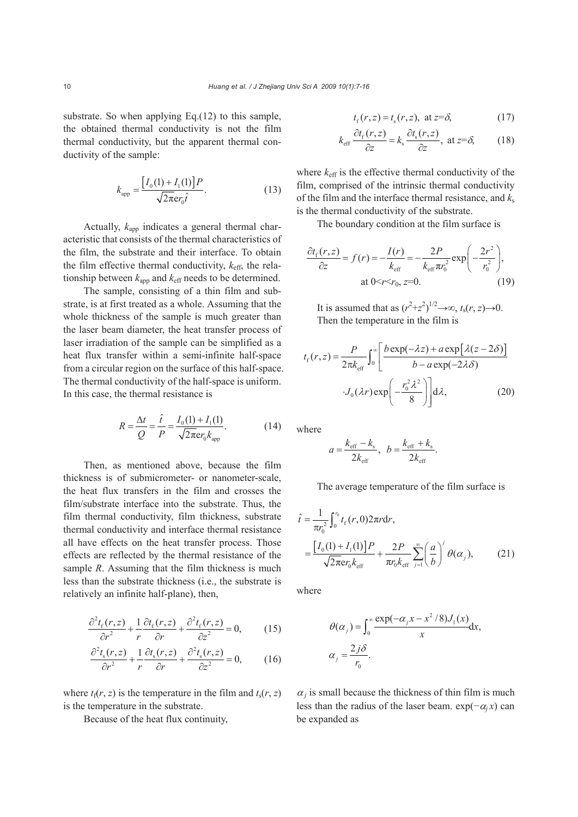substrate. So when applying Eq.(12) to this sample, the obtained thermal conductivity is not the film thermal conductivity, but the apparent thermal conductivity of the sample:

$$
k_{\rm app} = \frac{\left[I_0(1) + I_1(1)\right]P}{\sqrt{2\pi}\mathbf{e}r_0\hat{t}}.\tag{13}
$$

Actually,  $k_{app}$  indicates a general thermal characteristic that consists of the thermal characteristics of the film, the substrate and their interface. To obtain the film effective thermal conductivity, *k*eff, the relationship between  $k_{\text{app}}$  and  $k_{\text{eff}}$  needs to be determined.

The sample, consisting of a thin film and substrate, is at first treated as a whole. Assuming that the whole thickness of the sample is much greater than the laser beam diameter, the heat transfer process of laser irradiation of the sample can be simplified as a heat flux transfer within a semi-infinite half-space from a circular region on the surface of this half-space. The thermal conductivity of the half-space is uniform. In this case, the thermal resistance is

$$
R = \frac{\Delta t}{Q} = \frac{\hat{t}}{P} = \frac{I_0(1) + I_1(1)}{\sqrt{2\pi} \mathbf{e} r_0 k_{\text{app}}}.
$$
 (14)

Then, as mentioned above, because the film thickness is of submicrometer- or nanometer-scale, the heat flux transfers in the film and crosses the film/substrate interface into the substrate. Thus, the film thermal conductivity, film thickness, substrate thermal conductivity and interface thermal resistance all have effects on the heat transfer process. Those effects are reflected by the thermal resistance of the sample *R*. Assuming that the film thickness is much less than the substrate thickness (i.e., the substrate is relatively an infinite half-plane), then,

$$
\frac{\partial^2 t_f(r,z)}{\partial r^2} + \frac{1}{r} \frac{\partial t_f(r,z)}{\partial r} + \frac{\partial^2 t_f(r,z)}{\partial z^2} = 0,
$$
 (15)

$$
\frac{\partial^2 t_s(r,z)}{\partial r^2} + \frac{1}{r} \frac{\partial t_s(r,z)}{\partial r} + \frac{\partial^2 t_s(r,z)}{\partial z^2} = 0,
$$
 (16)

where  $t_f(r, z)$  is the temperature in the film and  $t_s(r, z)$ is the temperature in the substrate.

Because of the heat flux continuity,

$$
t_{\rm f}(r, z) = t_{\rm s}(r, z)
$$
, at  $z = \delta$ , (17)

$$
k_{\text{eff}}\frac{\partial t_{\text{f}}(r,z)}{\partial z} = k_{\text{s}}\frac{\partial t_{\text{s}}(r,z)}{\partial z}, \text{ at } z = \delta,
$$
 (18)

where  $k_{\text{eff}}$  is the effective thermal conductivity of the film, comprised of the intrinsic thermal conductivity of the film and the interface thermal resistance, and  $k_s$ is the thermal conductivity of the substrate.

The boundary condition at the film surface is

$$
\frac{\partial t_{\rm f}(r,z)}{\partial z} = f(r) = -\frac{I(r)}{k_{\rm eff}} = -\frac{2P}{k_{\rm eff}\pi r_0^2} \exp\left(-\frac{2r^2}{r_0^2}\right),
$$
  
at 0 < r < r\_0, z=0. (19)

It is assumed that as  $(r^2+z^2)^{1/2} \rightarrow \infty$ ,  $t_s(r, z) \rightarrow 0$ . Then the temperature in the film is

$$
t_{\rm f}(r,z) = \frac{P}{2\pi k_{\rm eff}} \int_0^\infty \left[ \frac{b \exp(-\lambda z) + a \exp[\lambda(z - 2\delta)]}{b - a \exp(-2\lambda \delta)} \right]
$$

$$
\cdot J_0(\lambda r) \exp\left(-\frac{r_0^2 \lambda^2}{8}\right) d\lambda, \tag{20}
$$

where

$$
a = \frac{k_{\text{eff}} - k_{\text{s}}}{2k_{\text{eff}}}, \quad b = \frac{k_{\text{eff}} + k_{\text{s}}}{2k_{\text{eff}}}.
$$

The average temperature of the film surface is

$$
\hat{t} = \frac{1}{\pi r_0^2} \int_0^{r_0} t_f(r, 0) 2\pi r dr,
$$
\n
$$
= \frac{[I_0(1) + I_1(1)]P}{\sqrt{2\pi} \epsilon r_0 k_{\text{eff}}} + \frac{2P}{\pi r_0 k_{\text{eff}}} \sum_{j=1}^{\infty} \left(\frac{a}{b}\right)^j \theta(\alpha_j),
$$
\n(21)

where

$$
\theta(\alpha_j) = \int_0^\infty \frac{\exp(-\alpha_j x - x^2/8) J_1(x)}{x} dx,
$$
  

$$
\alpha_j = \frac{2j\delta}{r_0}.
$$

 $\alpha_j$  is small because the thickness of thin film is much less than the radius of the laser beam.  $exp(-\alpha_i x)$  can be expanded as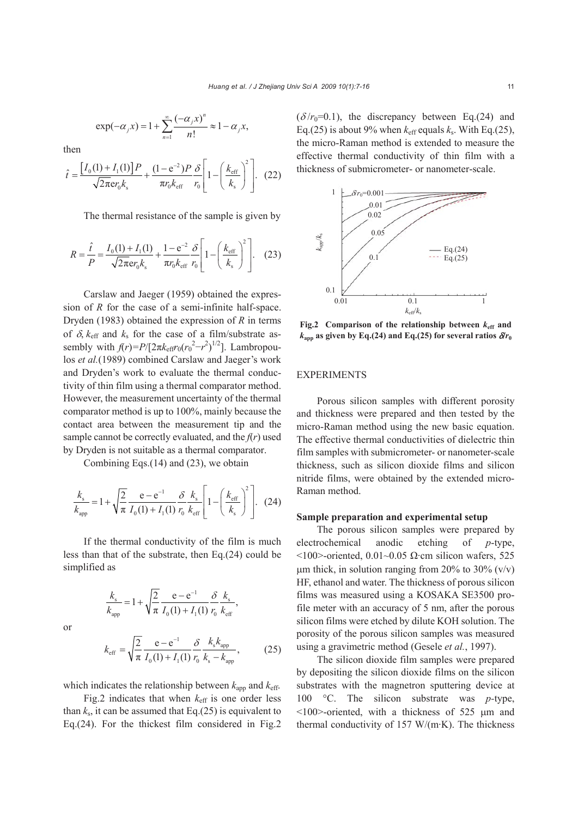$$
\exp(-\alpha_j x) = 1 + \sum_{n=1}^{\infty} \frac{(-\alpha_j x)^n}{n!} \approx 1 - \alpha_j x,
$$

then

$$
\hat{t} = \frac{[I_0(1) + I_1(1)]P}{\sqrt{2\pi}er_0k_s} + \frac{(1 - e^{-2})P}{\pi r_0k_{\text{eff}}} \frac{\delta}{r_0} \left[ 1 - \left(\frac{k_{\text{eff}}}{k_s}\right)^2 \right].
$$
 (22)

The thermal resistance of the sample is given by

$$
R = \frac{\hat{t}}{P} = \frac{I_0(1) + I_1(1)}{\sqrt{2\pi}er_0 k_s} + \frac{1 - e^{-2}}{\pi r_0 k_{\text{eff}}} \frac{\delta}{r_0} \left[ 1 - \left(\frac{k_{\text{eff}}}{k_s}\right)^2 \right].
$$
 (23)

Carslaw and Jaeger (1959) obtained the expression of *R* for the case of a semi-infinite half-space. Dryden (1983) obtained the expression of *R* in terms of  $\delta$ ,  $k_{\text{eff}}$  and  $k_{\text{s}}$  for the case of a film/substrate assembly with  $f(r) = P/[2\pi k_{\text{eff}}r_0(r_0^2 - r^2)^{1/2}]$ . Lambropoulos *et al.*(1989) combined Carslaw and Jaeger's work and Dryden's work to evaluate the thermal conductivity of thin film using a thermal comparator method. However, the measurement uncertainty of the thermal comparator method is up to 100%, mainly because the contact area between the measurement tip and the sample cannot be correctly evaluated, and the  $f(r)$  used by Dryden is not suitable as a thermal comparator.

Combining Eqs.(14) and (23), we obtain

$$
\frac{k_{\rm s}}{k_{\rm app}} = 1 + \sqrt{\frac{2}{\pi}} \frac{e - e^{-1}}{I_0(1) + I_1(1)} \frac{\delta}{r_0} \frac{k_{\rm s}}{k_{\rm eff}} \left[ 1 - \left( \frac{k_{\rm eff}}{k_{\rm s}} \right)^2 \right].
$$
 (24)

If the thermal conductivity of the film is much less than that of the substrate, then Eq.(24) could be simplified as

$$
\frac{k_{\rm s}}{k_{\rm app}} = 1 + \sqrt{\frac{2}{\pi}} \frac{e - e^{-1}}{I_0(1) + I_1(1)} \frac{\delta}{r_0} \frac{k_{\rm s}}{k_{\rm eff}},
$$

or

$$
k_{\rm eff} = \sqrt{\frac{2}{\pi}} \frac{e - e^{-1}}{I_0(1) + I_1(1)} \frac{\delta}{r_0} \frac{k_{\rm s} k_{\rm app}}{k_{\rm s} - k_{\rm app}},
$$
 (25)

which indicates the relationship between  $k_{\text{app}}$  and  $k_{\text{eff}}$ .

Fig.2 indicates that when  $k<sub>eff</sub>$  is one order less than  $k_s$ , it can be assumed that Eq.(25) is equivalent to Eq.(24). For the thickest film considered in Fig.2  $(\delta/r_0=0.1)$ , the discrepancy between Eq.(24) and Eq.(25) is about 9% when  $k_{\text{eff}}$  equals  $k_{\text{s}}$ . With Eq.(25), the micro-Raman method is extended to measure the effective thermal conductivity of thin film with a thickness of submicrometer- or nanometer-scale.



**Fig.2** Comparison of the relationship between  $k_{\text{eff}}$  and  $k_{\text{app}}$  as given by Eq.(24) and Eq.(25) for several ratios  $\delta r_0$ 

## EXPERIMENTS

Porous silicon samples with different porosity and thickness were prepared and then tested by the micro-Raman method using the new basic equation. The effective thermal conductivities of dielectric thin film samples with submicrometer- or nanometer-scale thickness, such as silicon dioxide films and silicon nitride films, were obtained by the extended micro-Raman method.

#### **Sample preparation and experimental setup**

The porous silicon samples were prepared by electrochemical anodic etching of *p*-type, <100>-oriented, 0.01~0.05 Ω·cm silicon wafers, 525 μm thick, in solution ranging from 20% to 30%  $(v/v)$ HF, ethanol and water. The thickness of porous silicon films was measured using a KOSAKA SE3500 profile meter with an accuracy of 5 nm, after the porous silicon films were etched by dilute KOH solution. The porosity of the porous silicon samples was measured using a gravimetric method (Gesele *et al.*, 1997).

The silicon dioxide film samples were prepared by depositing the silicon dioxide films on the silicon substrates with the magnetron sputtering device at 100 °C. The silicon substrate was *p-*type, <100>-oriented, with a thickness of 525 μm and thermal conductivity of 157 W/(m·K). The thickness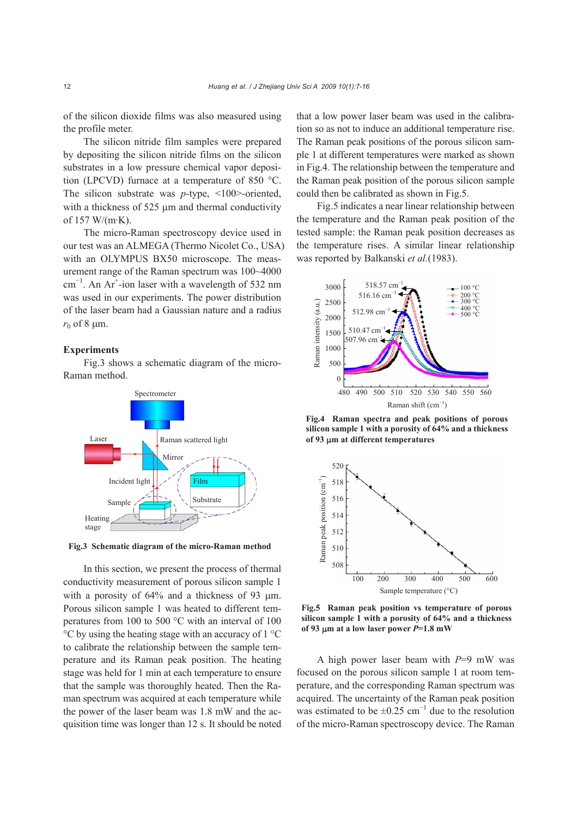of the silicon dioxide films was also measured using the profile meter.

The silicon nitride film samples were prepared by depositing the silicon nitride films on the silicon substrates in a low pressure chemical vapor deposition (LPCVD) furnace at a temperature of 850 °C. The silicon substrate was *p*-type, <100>-oriented, with a thickness of 525 μm and thermal conductivity of 157 W/(m·K).

The micro-Raman spectroscopy device used in our test was an ALMEGA (Thermo Nicolet Co., USA) with an OLYMPUS BX50 microscope. The measurement range of the Raman spectrum was 100~4000 cm<sup>-1</sup>. An Ar<sup>+</sup>-ion laser with a wavelength of 532 nm was used in our experiments. The power distribution of the laser beam had a Gaussian nature and a radius  $r_0$  of 8  $\mu$ m.

## **Experiments**

Fig.3 shows a schematic diagram of the micro-Raman method.



**Fig.3 Schematic diagram of the micro-Raman method**

In this section, we present the process of thermal conductivity measurement of porous silicon sample 1 with a porosity of 64% and a thickness of 93 μm. Porous silicon sample 1 was heated to different temperatures from 100 to 500 °C with an interval of 100 °C by using the heating stage with an accuracy of 1 °C to calibrate the relationship between the sample temperature and its Raman peak position. The heating stage was held for 1 min at each temperature to ensure that the sample was thoroughly heated. Then the Raman spectrum was acquired at each temperature while the power of the laser beam was 1.8 mW and the acquisition time was longer than 12 s. It should be noted that a low power laser beam was used in the calibration so as not to induce an additional temperature rise. The Raman peak positions of the porous silicon sample 1 at different temperatures were marked as shown in Fig.4. The relationship between the temperature and the Raman peak position of the porous silicon sample could then be calibrated as shown in Fig.5.

Fig.5 indicates a near linear relationship between the temperature and the Raman peak position of the tested sample: the Raman peak position decreases as the temperature rises. A similar linear relationship was reported by Balkanski *et al.*(1983).



**Fig.4 Raman spectra and peak positions of porous silicon sample 1 with a porosity of 64% and a thickness of 93** μ**m at different temperatures** 



**Fig.5 Raman peak position vs temperature of porous silicon sample 1 with a porosity of 64% and a thickness of 93** μ**m at a low laser power** *P***=1.8 mW**

A high power laser beam with *P*=9 mW was focused on the porous silicon sample 1 at room temperature, and the corresponding Raman spectrum was acquired. The uncertainty of the Raman peak position was estimated to be  $\pm 0.25$  cm<sup>-1</sup> due to the resolution of the micro-Raman spectroscopy device. The Raman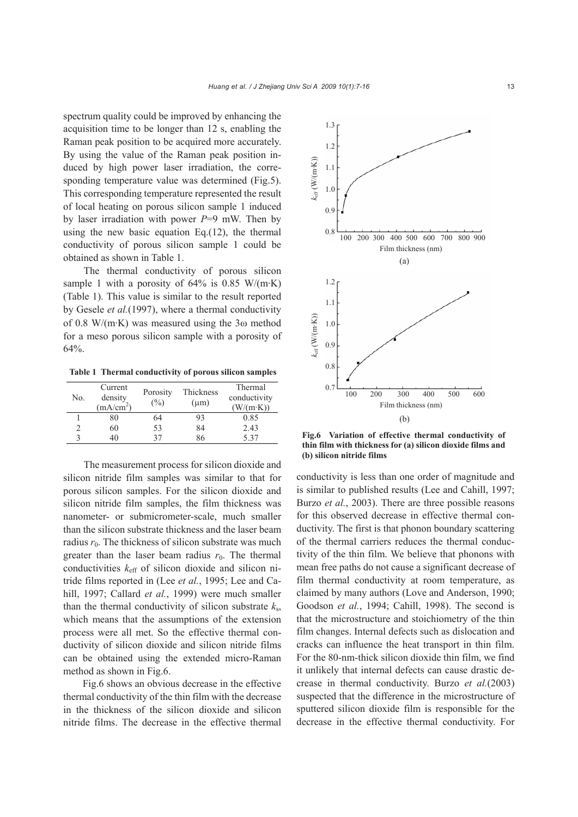spectrum quality could be improved by enhancing the acquisition time to be longer than 12 s, enabling the Raman peak position to be acquired more accurately. By using the value of the Raman peak position induced by high power laser irradiation, the corresponding temperature value was determined (Fig.5). This corresponding temperature represented the result of local heating on porous silicon sample 1 induced by laser irradiation with power *P*=9 mW. Then by using the new basic equation Eq.(12), the thermal conductivity of porous silicon sample 1 could be obtained as shown in Table 1.

The thermal conductivity of porous silicon sample 1 with a porosity of  $64\%$  is 0.85 W/(m·K) (Table 1). This value is similar to the result reported by Gesele *et al.*(1997), where a thermal conductivity of 0.8 W/(m·K) was measured using the 3ω method for a meso porous silicon sample with a porosity of 64%.

**Table 1 Thermal conductivity of porous silicon samples**

| No. | Current<br>density<br>(mA/cm <sup>2</sup> ) | Porosity<br>$($ %) | Thickness<br>$(\mu m)$ | Thermal<br>conductivity<br>$(W/(m \cdot K))$ |
|-----|---------------------------------------------|--------------------|------------------------|----------------------------------------------|
|     | 80                                          | 64                 | 93                     | 0.85                                         |
|     | 60                                          | 53                 | 84                     | 2.43                                         |
|     | 40                                          | 37                 | 86                     | 5 37                                         |

The measurement process for silicon dioxide and silicon nitride film samples was similar to that for porous silicon samples. For the silicon dioxide and silicon nitride film samples, the film thickness was nanometer- or submicrometer-scale, much smaller than the silicon substrate thickness and the laser beam radius  $r_0$ . The thickness of silicon substrate was much greater than the laser beam radius  $r_0$ . The thermal conductivities  $k<sub>eff</sub>$  of silicon dioxide and silicon nitride films reported in (Lee *et al.*, 1995; Lee and Cahill, 1997; Callard *et al.*, 1999) were much smaller than the thermal conductivity of silicon substrate  $k_s$ , which means that the assumptions of the extension process were all met. So the effective thermal conductivity of silicon dioxide and silicon nitride films can be obtained using the extended micro-Raman method as shown in Fig.6.

Fig.6 shows an obvious decrease in the effective thermal conductivity of the thin film with the decrease in the thickness of the silicon dioxide and silicon nitride films. The decrease in the effective thermal



**Fig.6 Variation of effective thermal conductivity of thin film with thickness for (a) silicon dioxide films and (b) silicon nitride films** 

conductivity is less than one order of magnitude and is similar to published results (Lee and Cahill, 1997; Burzo *et al.*, 2003). There are three possible reasons for this observed decrease in effective thermal conductivity. The first is that phonon boundary scattering of the thermal carriers reduces the thermal conductivity of the thin film. We believe that phonons with mean free paths do not cause a significant decrease of film thermal conductivity at room temperature, as claimed by many authors (Love and Anderson, 1990; Goodson *et al.*, 1994; Cahill, 1998). The second is that the microstructure and stoichiometry of the thin film changes. Internal defects such as dislocation and cracks can influence the heat transport in thin film. For the 80-nm-thick silicon dioxide thin film, we find it unlikely that internal defects can cause drastic decrease in thermal conductivity. Burzo *et al.*(2003) suspected that the difference in the microstructure of sputtered silicon dioxide film is responsible for the decrease in the effective thermal conductivity. For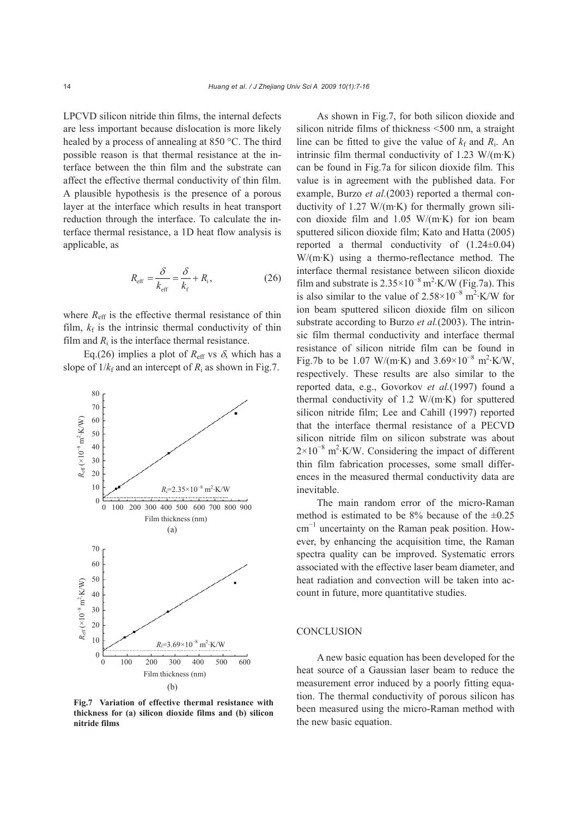LPCVD silicon nitride thin films, the internal defects are less important because dislocation is more likely healed by a process of annealing at 850 °C. The third possible reason is that thermal resistance at the interface between the thin film and the substrate can affect the effective thermal conductivity of thin film. A plausible hypothesis is the presence of a porous layer at the interface which results in heat transport reduction through the interface. To calculate the interface thermal resistance, a 1D heat flow analysis is applicable, as

$$
R_{\text{eff}} = \frac{\delta}{k_{\text{eff}}} = \frac{\delta}{k_{\text{f}}} + R_{\text{i}},\tag{26}
$$

where  $R_{\text{eff}}$  is the effective thermal resistance of thin film,  $k_f$  is the intrinsic thermal conductivity of thin film and  $R_i$  is the interface thermal resistance.

Eq.(26) implies a plot of  $R_{\text{eff}}$  vs  $\delta$ , which has a slope of  $1/k_f$  and an intercept of  $R_i$  as shown in Fig.7.



**Fig.7 Variation of effective thermal resistance with thickness for (a) silicon dioxide films and (b) silicon nitride films** 

As shown in Fig.7, for both silicon dioxide and silicon nitride films of thickness <500 nm, a straight line can be fitted to give the value of  $k_f$  and  $R_i$ . An intrinsic film thermal conductivity of 1.23  $W/(m \cdot K)$ can be found in Fig.7a for silicon dioxide film. This value is in agreement with the published data. For example, Burzo *et al.*(2003) reported a thermal conductivity of 1.27 W/(m·K) for thermally grown silicon dioxide film and 1.05 W/(m·K) for ion beam sputtered silicon dioxide film; Kato and Hatta (2005) reported a thermal conductivity of  $(1.24\pm0.04)$ W/(m·K) using a thermo-reflectance method. The interface thermal resistance between silicon dioxide film and substrate is  $2.35 \times 10^{-8}$  m<sup>2</sup>·K/W (Fig.7a). This is also similar to the value of  $2.58 \times 10^{-8}$  m<sup>2</sup>·K/W for ion beam sputtered silicon dioxide film on silicon substrate according to Burzo *et al.*(2003). The intrinsic film thermal conductivity and interface thermal resistance of silicon nitride film can be found in Fig.7b to be 1.07 W/(m·K) and  $3.69 \times 10^{-8}$  m<sup>2</sup>·K/W, respectively. These results are also similar to the reported data, e.g., Govorkov *et al.*(1997) found a thermal conductivity of 1.2 W/(m·K) for sputtered silicon nitride film; Lee and Cahill (1997) reported that the interface thermal resistance of a PECVD silicon nitride film on silicon substrate was about  $2\times10^{-8}$  m<sup>2</sup>⋅K/W. Considering the impact of different thin film fabrication processes, some small differences in the measured thermal conductivity data are inevitable.

The main random error of the micro-Raman method is estimated to be  $8\%$  because of the  $\pm 0.25$ cm<sup>−</sup><sup>1</sup> uncertainty on the Raman peak position. However, by enhancing the acquisition time, the Raman spectra quality can be improved. Systematic errors associated with the effective laser beam diameter, and heat radiation and convection will be taken into account in future, more quantitative studies.

#### **CONCLUSION**

A new basic equation has been developed for the heat source of a Gaussian laser beam to reduce the measurement error induced by a poorly fitting equation. The thermal conductivity of porous silicon has been measured using the micro-Raman method with the new basic equation.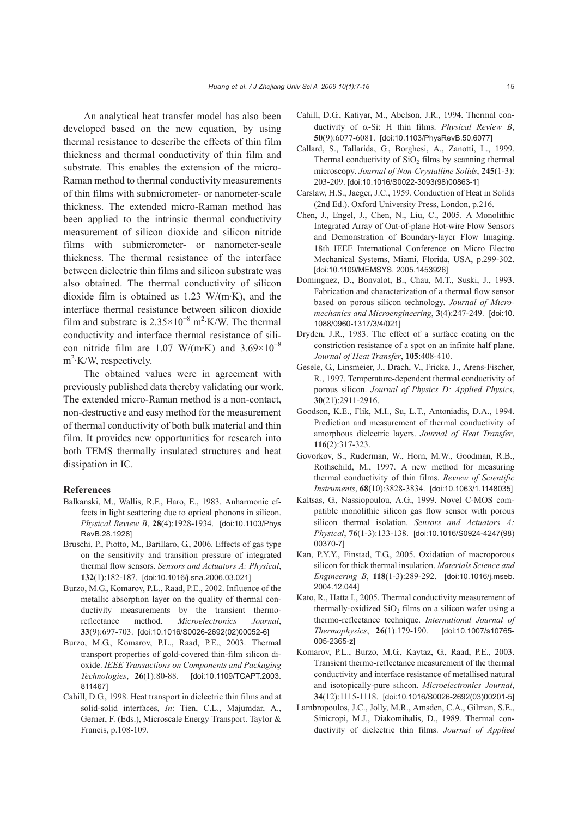An analytical heat transfer model has also been developed based on the new equation, by using thermal resistance to describe the effects of thin film thickness and thermal conductivity of thin film and substrate. This enables the extension of the micro-Raman method to thermal conductivity measurements of thin films with submicrometer- or nanometer-scale thickness. The extended micro-Raman method has been applied to the intrinsic thermal conductivity measurement of silicon dioxide and silicon nitride films with submicrometer- or nanometer-scale thickness. The thermal resistance of the interface between dielectric thin films and silicon substrate was also obtained. The thermal conductivity of silicon dioxide film is obtained as 1.23 W/(m·K), and the interface thermal resistance between silicon dioxide film and substrate is  $2.35 \times 10^{-8}$  m<sup>2</sup>⋅K/W. The thermal conductivity and interface thermal resistance of silicon nitride film are 1.07 W/(m·K) and  $3.69 \times 10^{-8}$  $m^2$ ·K/W, respectively.

The obtained values were in agreement with previously published data thereby validating our work. The extended micro-Raman method is a non-contact, non-destructive and easy method for the measurement of thermal conductivity of both bulk material and thin film. It provides new opportunities for research into both TEMS thermally insulated structures and heat dissipation in IC.

#### **References**

- Balkanski, M., Wallis, R.F., Haro, E., 1983. Anharmonic effects in light scattering due to optical phonons in silicon. *Physical Review B*, **28**(4):1928-1934. [doi:10.1103/Phys RevB.28.1928]
- Bruschi, P., Piotto, M., Barillaro, G., 2006. Effects of gas type on the sensitivity and transition pressure of integrated thermal flow sensors. *Sensors and Actuators A: Physical*, **132**(1):182-187. [doi:10.1016/j.sna.2006.03.021]
- Burzo, M.G., Komarov, P.L., Raad, P.E., 2002. Influence of the metallic absorption layer on the quality of thermal conductivity measurements by the transient thermoreflectance method. *Microelectronics Journal*, **33**(9):697-703. [doi:10.1016/S0026-2692(02)00052-6]
- Burzo, M.G., Komarov, P.L., Raad, P.E., 2003. Thermal transport properties of gold-covered thin-film silicon dioxide. *IEEE Transactions on Components and Packaging Technologies*, **26**(1):80-88. [doi:10.1109/TCAPT.2003. 811467]
- Cahill, D.G., 1998. Heat transport in dielectric thin films and at solid-solid interfaces, *In*: Tien, C.L., Majumdar, A., Gerner, F. (Eds.), Microscale Energy Transport. Taylor & Francis, p.108-109.
- Cahill, D.G., Katiyar, M., Abelson, J.R., 1994. Thermal conductivity of α-Si: H thin films. *Physical Review B*, **50**(9):6077-6081. [doi:10.1103/PhysRevB.50.6077]
- Callard, S., Tallarida, G., Borghesi, A., Zanotti, L., 1999. Thermal conductivity of  $SiO<sub>2</sub>$  films by scanning thermal microscopy. *Journal of Non-Crystalline Solids*, **245**(1-3): 203-209. [doi:10.1016/S0022-3093(98)00863-1]
- Carslaw, H.S., Jaeger, J.C., 1959. Conduction of Heat in Solids (2nd Ed.). Oxford University Press, London, p.216.
- Chen, J., Engel, J., Chen, N., Liu, C., 2005. A Monolithic Integrated Array of Out-of-plane Hot-wire Flow Sensors and Demonstration of Boundary-layer Flow Imaging. 18th IEEE International Conference on Micro Electro Mechanical Systems, Miami, Florida, USA, p.299-302. [doi:10.1109/MEMSYS. 2005.1453926]
- Dominguez, D., Bonvalot, B., Chau, M.T., Suski, J., 1993. Fabrication and characterization of a thermal flow sensor based on porous silicon technology. *Journal of Micromechanics and Microengineering*, **3**(4):247-249. [doi:10. 1088/0960-1317/3/4/021]
- Dryden, J.R., 1983. The effect of a surface coating on the constriction resistance of a spot on an infinite half plane. *Journal of Heat Transfer*, **105**:408-410.
- Gesele, G., Linsmeier, J., Drach, V., Fricke, J., Arens-Fischer, R., 1997. Temperature-dependent thermal conductivity of porous silicon. *Journal of Physics D: Applied Physics*, **30**(21):2911-2916.
- Goodson, K.E., Flik, M.I., Su, L.T., Antoniadis, D.A., 1994. Prediction and measurement of thermal conductivity of amorphous dielectric layers. *Journal of Heat Transfer*, **116**(2):317-323.
- Govorkov, S., Ruderman, W., Horn, M.W., Goodman, R.B., Rothschild, M., 1997. A new method for measuring thermal conductivity of thin films. *Review of Scientific Instruments*, **68**(10):3828-3834. [doi:10.1063/1.1148035]
- Kaltsas, G., Nassiopoulou, A.G., 1999. Novel C-MOS compatible monolithic silicon gas flow sensor with porous silicon thermal isolation. *Sensors and Actuators A: Physical*, **76**(1-3):133-138. [doi:10.1016/S0924-4247(98) 00370-7]
- Kan, P.Y.Y., Finstad, T.G., 2005. Oxidation of macroporous silicon for thick thermal insulation. *Materials Science and Engineering B*, **118**(1-3):289-292. [doi:10.1016/j.mseb. 2004.12.044]
- Kato, R., Hatta I., 2005. Thermal conductivity measurement of thermally-oxidized  $SiO<sub>2</sub>$  films on a silicon wafer using a thermo-reflectance technique. *International Journal of Thermophysics*, **26**(1):179-190. [doi:10.1007/s10765- 005-2365-z]
- Komarov, P.L., Burzo, M.G., Kaytaz, G., Raad, P.E., 2003. Transient thermo-reflectance measurement of the thermal conductivity and interface resistance of metallised natural and isotopically-pure silicon. *Microelectronics Journal*, **34**(12):1115-1118. [doi:10.1016/S0026-2692(03)00201-5]
- Lambropoulos, J.C., Jolly, M.R., Amsden, C.A., Gilman, S.E., Sinicropi, M.J., Diakomihalis, D., 1989. Thermal conductivity of dielectric thin films. *Journal of Applied*